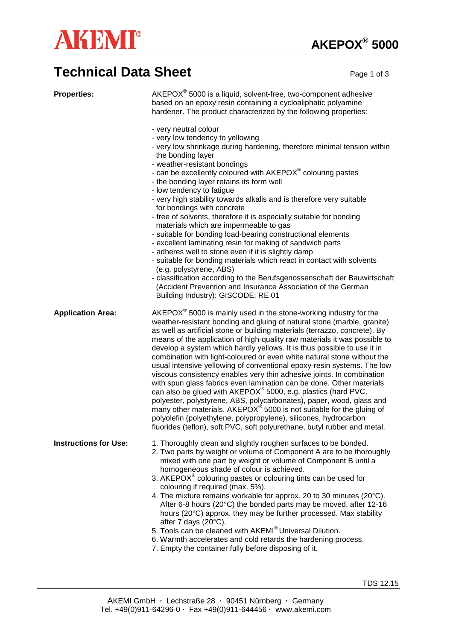

**Technical Data Sheet** Page 1 of 3

| <b>Properties:</b>           | AKEPOX <sup>®</sup> 5000 is a liquid, solvent-free, two-component adhesive<br>based on an epoxy resin containing a cycloaliphatic polyamine<br>hardener. The product characterized by the following properties:                                                                                                                                                                                                                                                                                                                                                                                                                                                                                                                                                                                                                                                                                                                                                                                                                                                                               |
|------------------------------|-----------------------------------------------------------------------------------------------------------------------------------------------------------------------------------------------------------------------------------------------------------------------------------------------------------------------------------------------------------------------------------------------------------------------------------------------------------------------------------------------------------------------------------------------------------------------------------------------------------------------------------------------------------------------------------------------------------------------------------------------------------------------------------------------------------------------------------------------------------------------------------------------------------------------------------------------------------------------------------------------------------------------------------------------------------------------------------------------|
|                              | - very neutral colour<br>- very low tendency to yellowing<br>- very low shrinkage during hardening, therefore minimal tension within<br>the bonding layer<br>- weather-resistant bondings<br>- can be excellently coloured with AKEPOX® colouring pastes<br>- the bonding layer retains its form well<br>- low tendency to fatigue<br>- very high stability towards alkalis and is therefore very suitable<br>for bondings with concrete<br>- free of solvents, therefore it is especially suitable for bonding<br>materials which are impermeable to gas<br>- suitable for bonding load-bearing constructional elements<br>- excellent laminating resin for making of sandwich parts<br>- adheres well to stone even if it is slightly damp<br>- suitable for bonding materials which react in contact with solvents<br>(e.g. polystyrene, ABS)<br>- classification according to the Berufsgenossenschaft der Bauwirtschaft<br>(Accident Prevention and Insurance Association of the German<br>Building Industry): GISCODE: RE 01                                                            |
| <b>Application Area:</b>     | AKEPOX <sup>®</sup> 5000 is mainly used in the stone-working industry for the<br>weather-resistant bonding and gluing of natural stone (marble, granite)<br>as well as artificial stone or building materials (terrazzo, concrete). By<br>means of the application of high-quality raw materials it was possible to<br>develop a system which hardly yellows. It is thus possible to use it in<br>combination with light-coloured or even white natural stone without the<br>usual intensive yellowing of conventional epoxy-resin systems. The low<br>viscous consistency enables very thin adhesive joints. In combination<br>with spun glass fabrics even lamination can be done. Other materials<br>can also be glued with AKEPOX <sup>®</sup> 5000, e.g. plastics (hard PVC,<br>polyester, polystyrene, ABS, polycarbonates), paper, wood, glass and<br>many other materials. AKEPOX <sup>®</sup> 5000 is not suitable for the gluing of<br>polyolefin (polyethylene, polypropylene), silicones, hydrocarbon<br>fluorides (teflon), soft PVC, soft polyurethane, butyl rubber and metal. |
| <b>Instructions for Use:</b> | 1. Thoroughly clean and slightly roughen surfaces to be bonded.<br>2. Two parts by weight or volume of Component A are to be thoroughly<br>mixed with one part by weight or volume of Component B until a<br>homogeneous shade of colour is achieved.<br>3. AKEPOX <sup>®</sup> colouring pastes or colouring tints can be used for<br>colouring if required (max. 5%).<br>4. The mixture remains workable for approx. 20 to 30 minutes (20°C).<br>After 6-8 hours (20°C) the bonded parts may be moved, after 12-16<br>hours (20°C) approx. they may be further processed. Max stability<br>after 7 days (20°C).<br>5. Tools can be cleaned with AKEMI® Universal Dilution.<br>6. Warmth accelerates and cold retards the hardening process.<br>7. Empty the container fully before disposing of it.                                                                                                                                                                                                                                                                                         |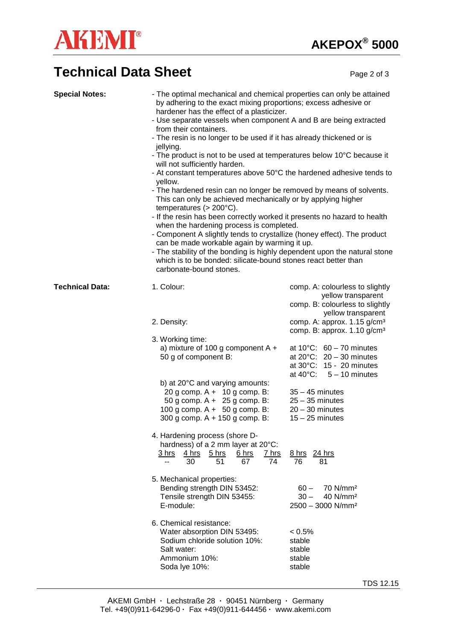

## **Technical Data Sheet** Page 2 of 3

| <b>Special Notes:</b>  | - The optimal mechanical and chemical properties can only be attained<br>by adhering to the exact mixing proportions; excess adhesive or<br>hardener has the effect of a plasticizer.<br>- Use separate vessels when component A and B are being extracted<br>from their containers.<br>- The resin is no longer to be used if it has already thickened or is<br>jellying.<br>- The product is not to be used at temperatures below 10°C because it<br>will not sufficiently harden.<br>- At constant temperatures above 50°C the hardened adhesive tends to<br>yellow.<br>- The hardened resin can no longer be removed by means of solvents.<br>This can only be achieved mechanically or by applying higher<br>temperatures $(>200^{\circ}C)$ .<br>- If the resin has been correctly worked it presents no hazard to health<br>when the hardening process is completed.<br>- Component A slightly tends to crystallize (honey effect). The product<br>can be made workable again by warming it up.<br>- The stability of the bonding is highly dependent upon the natural stone<br>which is to be bonded: silicate-bound stones react better than<br>carbonate-bound stones. |                                                                                                                                                                                                                                                                                                                                             |
|------------------------|---------------------------------------------------------------------------------------------------------------------------------------------------------------------------------------------------------------------------------------------------------------------------------------------------------------------------------------------------------------------------------------------------------------------------------------------------------------------------------------------------------------------------------------------------------------------------------------------------------------------------------------------------------------------------------------------------------------------------------------------------------------------------------------------------------------------------------------------------------------------------------------------------------------------------------------------------------------------------------------------------------------------------------------------------------------------------------------------------------------------------------------------------------------------------------|---------------------------------------------------------------------------------------------------------------------------------------------------------------------------------------------------------------------------------------------------------------------------------------------------------------------------------------------|
| <b>Technical Data:</b> | 1. Colour:                                                                                                                                                                                                                                                                                                                                                                                                                                                                                                                                                                                                                                                                                                                                                                                                                                                                                                                                                                                                                                                                                                                                                                      | comp. A: colourless to slightly<br>yellow transparent<br>comp. B: colourless to slightly                                                                                                                                                                                                                                                    |
|                        | 2. Density:<br>3. Working time:<br>a) mixture of 100 g component $A +$<br>50 g of component B:<br>b) at 20°C and varying amounts:<br>20 g comp. $A + 10$ g comp. B:<br>50 g comp. $A + 25$ g comp. B:<br>100 g comp. $A + 50$ g comp. B:<br>300 g comp. $A + 150$ g comp. B:<br>4. Hardening process (shore D-                                                                                                                                                                                                                                                                                                                                                                                                                                                                                                                                                                                                                                                                                                                                                                                                                                                                  | yellow transparent<br>comp. A: approx. 1.15 g/cm <sup>3</sup><br>comp. B: approx. 1.10 g/cm <sup>3</sup><br>at $10^{\circ}$ C: 60 - 70 minutes<br>at $20^{\circ}$ C: $20 - 30$ minutes<br>at 30°C: 15 - 20 minutes<br>at $40^{\circ}$ C: 5 – 10 minutes<br>$35 - 45$ minutes<br>$25 - 35$ minutes<br>$20 - 30$ minutes<br>$15 - 25$ minutes |
|                        | hardness) of a 2 mm layer at 20°C:<br>4 hrs<br>5 hrs<br>6 hrs<br>$7$ hrs<br><u>3 hrs</u><br>51<br>67<br>74<br>30<br>--                                                                                                                                                                                                                                                                                                                                                                                                                                                                                                                                                                                                                                                                                                                                                                                                                                                                                                                                                                                                                                                          | 8 hrs 24 hrs<br>76<br>81                                                                                                                                                                                                                                                                                                                    |
|                        | 5. Mechanical properties:<br>Bending strength DIN 53452:<br>Tensile strength DIN 53455:<br>E-module:                                                                                                                                                                                                                                                                                                                                                                                                                                                                                                                                                                                                                                                                                                                                                                                                                                                                                                                                                                                                                                                                            | 70 N/mm <sup>2</sup><br>$60 -$<br>$30 -$<br>40 N/mm <sup>2</sup><br>$2500 - 3000$ N/mm <sup>2</sup>                                                                                                                                                                                                                                         |
|                        | 6. Chemical resistance:<br>Water absorption DIN 53495:<br>Sodium chloride solution 10%:<br>Salt water:<br>Ammonium 10%:<br>Soda lye 10%:                                                                                                                                                                                                                                                                                                                                                                                                                                                                                                                                                                                                                                                                                                                                                                                                                                                                                                                                                                                                                                        | $< 0.5\%$<br>stable<br>stable<br>stable<br>stable                                                                                                                                                                                                                                                                                           |